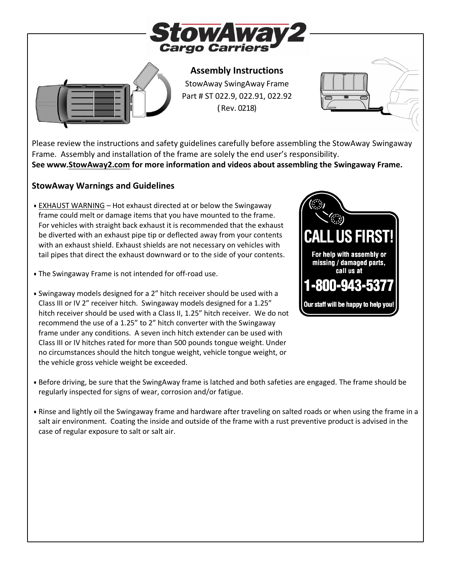



**Assembly Instructions** StowAway SwingAway Frame Part # ST 022.9, 022.91, 022.92 (Rev. 0218)



Please review the instructions and safety guidelines carefully before assembling the StowAway Swingaway Frame. Assembly and installation of the frame are solely the end user's responsibility. **See www[.StowAway2.com](http://www.stowaway2.com/) for more information and videos about assembling the Swingaway Frame.**

#### **StowAway Warnings and Guidelines**

- EXHAUST WARNING Hot exhaust directed at or below the Swingaway frame could melt or damage items that you have mounted to the frame. For vehicles with straight back exhaust it is recommended that the exhaust be diverted with an exhaust pipe tip or deflected away from your contents with an exhaust shield. Exhaust shields are not necessary on vehicles with tail pipes that direct the exhaust downward or to the side of your contents.
- The Swingaway Frame is not intended for off-road use.
- Swingaway models designed for a 2" hitch receiver should be used with a Class III or IV 2" receiver hitch. Swingaway models designed for a 1.25" hitch receiver should be used with a Class II, 1.25" hitch receiver. We do not recommend the use of a 1.25" to 2" hitch converter with the Swingaway frame under any conditions. A seven inch hitch extender can be used with Class III or IV hitches rated for more than 500 pounds tongue weight. Under no circumstances should the hitch tongue weight, vehicle tongue weight, or the vehicle gross vehicle weight be exceeded.



- Before driving, be sure that the SwingAway frame is latched and both safeties are engaged. The frame should be regularly inspected for signs of wear, corrosion and/or fatigue.
- Rinse and lightly oil the Swingaway frame and hardware after traveling on salted roads or when using the frame in a salt air environment. Coating the inside and outside of the frame with a rust preventive product is advised in the case of regular exposure to salt or salt air.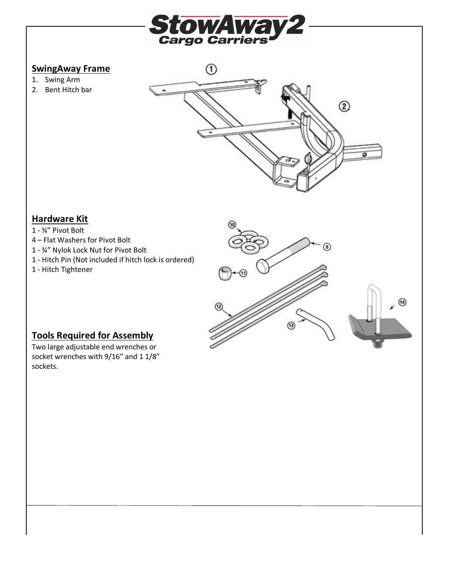

## **SwingAway Frame**

- 1. Swing Arm
- 2. Bent Hitch bar



## **Hardware Kit**

- 1 ¾" Pivot Bolt
- 4 Flat Washers for Pivot Bolt
- 1 ¾" Nylok Lock Nut for Pivot Bolt
- 1 Hitch Pin (Not included if hitch lock is ordered)
- 1 Hitch Tightener



# **Tools Required for Assembly**

Two large adjustable end wrenches or socket wrenches with 9/16" and 1 1/8" sockets.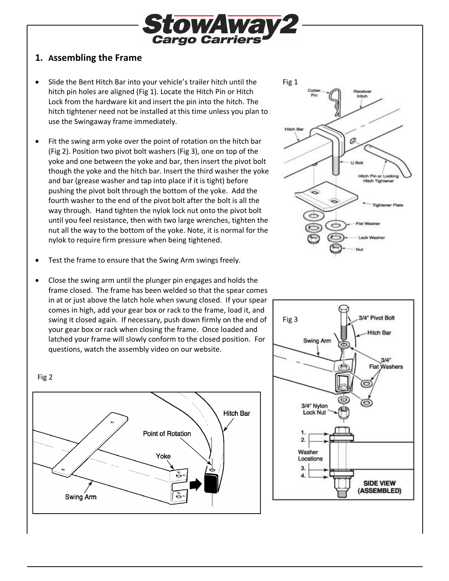

## **1. Assembling the Frame**

- Slide the Bent Hitch Bar into your vehicle's trailer hitch until the hitch pin holes are aligned (Fig 1). Locate the Hitch Pin or Hitch Lock from the hardware kit and insert the pin into the hitch. The hitch tightener need not be installed at this time unless you plan to use the Swingaway frame immediately.
- Fit the swing arm yoke over the point of rotation on the hitch bar (Fig 2). Position two pivot bolt washers (Fig 3), one on top of the yoke and one between the yoke and bar, then insert the pivot bolt though the yoke and the hitch bar. Insert the third washer the yoke and bar (grease washer and tap into place if it is tight) before pushing the pivot bolt through the bottom of the yoke. Add the fourth washer to the end of the pivot bolt after the bolt is all the way through. Hand tighten the nylok lock nut onto the pivot bolt until you feel resistance, then with two large wrenches, tighten the nut all the way to the bottom of the yoke. Note, it is normal for the nylok to require firm pressure when being tightened.
- Test the frame to ensure that the Swing Arm swings freely.
- Close the swing arm until the plunger pin engages and holds the frame closed. The frame has been welded so that the spear comes in at or just above the latch hole when swung closed. If your spear comes in high, add your gear box or rack to the frame, load it, and swing it closed again. If necessary, push down firmly on the end of your gear box or rack when closing the frame. Once loaded and latched your frame will slowly conform to the closed position. For questions, watch the assembly video on our website.







Fig 2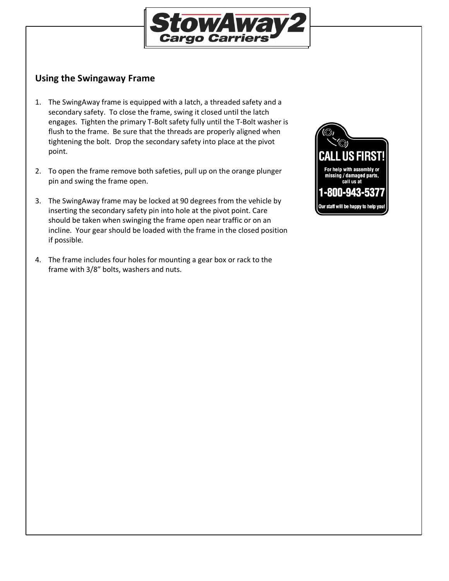

## **Using the Swingaway Frame**

- 1. The SwingAway frame is equipped with a latch, a threaded safety and a secondary safety. To close the frame, swing it closed until the latch engages. Tighten the primary T-Bolt safety fully until the T-Bolt washer is flush to the frame. Be sure that the threads are properly aligned when tightening the bolt. Drop the secondary safety into place at the pivot point.
- 2. To open the frame remove both safeties, pull up on the orange plunger pin and swing the frame open.
- 3. The SwingAway frame may be locked at 90 degrees from the vehicle by inserting the secondary safety pin into hole at the pivot point. Care should be taken when swinging the frame open near traffic or on an incline. Your gear should be loaded with the frame in the closed position if possible.
- 4. The frame includes four holes for mounting a gear box or rack to the frame with 3/8" bolts, washers and nuts.